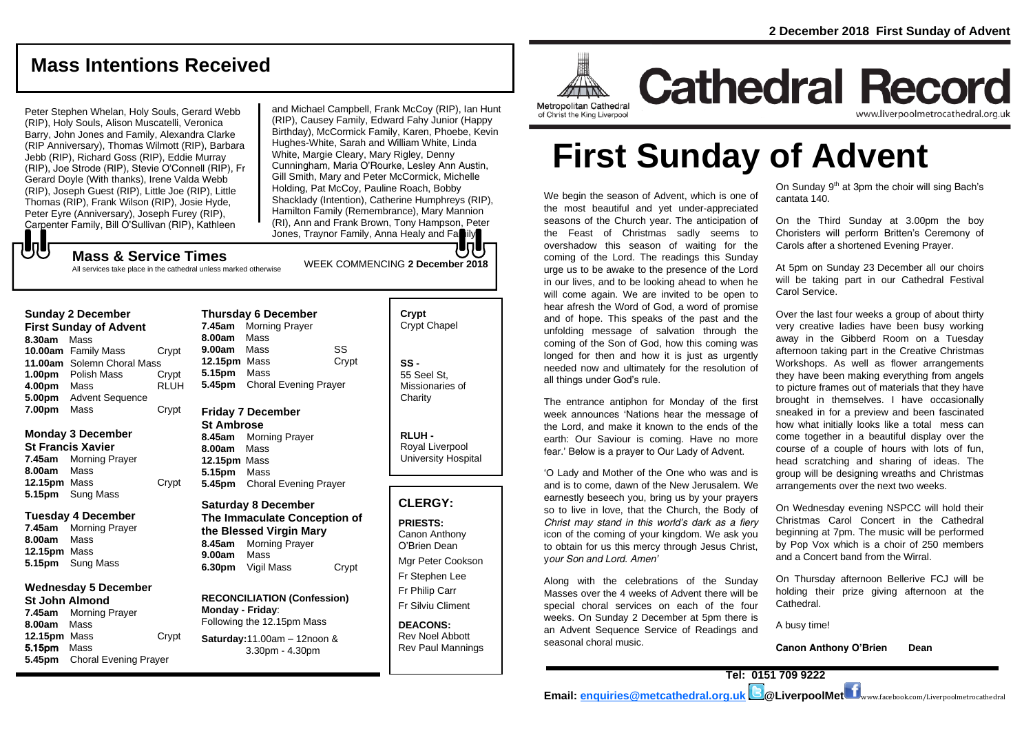## **Mass Intentions Received**

Peter Stephen Whelan, Holy Souls, Gerard Webb (RIP), Holy Souls, Alison Muscatelli, Veronica Barry, John Jones and Family, Alexandra Clarke (RIP Anniversary), Thomas Wilmott (RIP), Barbara Jebb (RIP), Richard Goss (RIP), Eddie Murray (RIP), Joe Strode (RIP), Stevie O'Connell (RIP), Fr Gerard Doyle (With thanks), Irene Valda Webb (RIP), Joseph Guest (RIP), Little Joe (RIP), Little Thomas (RIP), Frank Wilson (RIP), Josie Hyde, Peter Eyre (Anniversary), Joseph Furey (RIP), Carpenter Family, Bill O'Sullivan (RIP), Kathleen

and Michael Campbell, Frank McCoy (RIP), Ian Hunt (RIP), Causey Family, Edward Fahy Junior (Happy Birthday), McCormick Family, Karen, Phoebe, Kevin Hughes-White, Sarah and William White, Linda White, Margie Cleary, Mary Rigley, Denny Cunningham, Maria O'Rourke, Lesley Ann Austin, Gill Smith, Mary and Peter McCormick, Michelle Holding, Pat McCoy, Pauline Roach, Bobby Shacklady (Intention), Catherine Humphreys (RIP), Hamilton Family (Remembrance), Mary Mannion (RI), Ann and Frank Brown, Tony Hampson, Peter Jones, Traynor Family, Anna Healy and Fa

## もし

All services take place in the cathedral unless marked otherwise

| <b>JUINAY 4 DECENTER</b>      |                            |             |  |  |
|-------------------------------|----------------------------|-------------|--|--|
| <b>First Sunday of Advent</b> |                            |             |  |  |
| 8.30am                        | Mass                       |             |  |  |
|                               | 10.00am Family Mass        | Crypt       |  |  |
|                               | 11.00am Solemn Choral Mass |             |  |  |
| 1.00pm                        | Polish Mass                | Crypt       |  |  |
| 4.00pm                        | Mass                       | <b>RLUH</b> |  |  |
| 5.00pm                        | <b>Advent Sequence</b>     |             |  |  |
| 7.00pm                        | Mass                       | Crypt       |  |  |

#### **Monday 3 December**

**Sunday 2 December**

**St Francis Xavier 7.45am** Morning Prayer **8.00am** Mass **12.15pm** Mass Crypt **5.15pm** Sung Mass

#### **Tuesday 4 December**

**7.45am** Morning Prayer **8.00am** Mass **12.15pm** Mass **5.15pm** Sung Mass

#### **Wednesday 5 December**

**St John Almond 7.45am** Morning Prayer **8.00am** Mass **12.15pm** Mass Crypt 5.15pm Mass **5.45pm** Choral Evening Prayer

| Thursday 6 December |                              |       |  |  |
|---------------------|------------------------------|-------|--|--|
|                     | 7.45am Morning Prayer        |       |  |  |
| 8.00am Mass         |                              |       |  |  |
| 9.00am Mass         |                              | SS    |  |  |
| <b>12.15pm</b> Mass |                              | Crypt |  |  |
| 5.15pm Mass         |                              |       |  |  |
|                     | 5.45pm Choral Evening Prayer |       |  |  |

#### **Friday 7 December**

**St Ambrose 8.45am** Morning Prayer **8.00am** Mass **12.15pm** Mass **5.15pm** Mass **5.45pm** Choral Evening Prayer

**Saturday 8 December The Immaculate Conception of the Blessed Virgin Mary 8.45am** Morning Prayer **9.00am** Mass **6.30pm** Vigil Mass Crypt

**RECONCILIATION (Confession) Monday - Friday**: Following the 12.15pm Mass

**Saturday:**11.00am – 12noon & 3.30pm - 4.30pm

| Crypt<br><b>Crypt Chapel</b>                      |  |
|---------------------------------------------------|--|
| SS -<br>55 Seel St.<br>Missionaries of<br>Charity |  |

**RLUH -** Royal Liverpool University Hospital

#### **CLERGY:**

**PRIESTS:** Canon Anthony O'Brien *Dean* Mgr Peter Cookson Fr Stephen Lee

Fr Philip Carr Fr Silviu Climent

**DEACONS:** Rev Noel Abbott Rev Paul Mannings



**Cathedral Record** www.liverpoolmetrocathedral.org.ul

**First Sunday of Advent**

We begin the season of Advent, which is one of the most beautiful and yet under-appreciated seasons of the Church year. The anticipation of the Feast of Christmas sadly seems to overshadow this season of waiting for the coming of the Lord. The readings this Sunday urge us to be awake to the presence of the Lord in our lives, and to be looking ahead to when he will come again. We are invited to be open to hear afresh the Word of God, a word of promise and of hope. This speaks of the past and the unfolding message of salvation through the coming of the Son of God, how this coming was longed for then and how it is just as urgently needed now and ultimately for the resolution of all things under God's rule.

The entrance antiphon for Monday of the first week announces 'Nations hear the message of the Lord, and make it known to the ends of the earth: Our Saviour is coming. Have no more fear.' Below is a prayer to Our Lady of Advent.

'*O Lady and Mother of the One who was and is and is to come, dawn of the New Jerusalem. We earnestly beseech you, bring us by your prayers so to live in love, that the Church, the Body of Christ may stand in this world's dark as a fiery icon of the coming of your kingdom. We ask you to obtain for us this mercy through Jesus Christ, your Son and Lord. Amen'* 

Along with the celebrations of the Sunday Masses over the 4 weeks of Advent there will be special choral services on each of the four weeks. On Sunday 2 December at 5pm there is an Advent Sequence Service of Readings and seasonal choral music.

On Sunday 9<sup>th</sup> at 3pm the choir will sing Bach's cantata 140.

On the Third Sunday at 3.00pm the boy Choristers will perform Britten's Ceremony of Carols after a shortened Evening Prayer.

At 5pm on Sunday 23 December all our choirs will be taking part in our Cathedral Festival Carol Service.

Over the last four weeks a group of about thirty very creative ladies have been busy working away in the Gibberd Room on a Tuesday afternoon taking part in the Creative Christmas Workshops. As well as flower arrangements they have been making everything from angels to picture frames out of materials that they have brought in themselves. I have occasionally sneaked in for a preview and been fascinated how what initially looks like a total mess can come together in a beautiful display over the course of a couple of hours with lots of fun, head scratching and sharing of ideas. The group will be designing wreaths and Christmas arrangements over the next two weeks.

On Wednesday evening NSPCC will hold their Christmas Carol Concert in the Cathedral beginning at 7pm. The music will be performed by Pop Vox which is a choir of 250 members and a Concert band from the Wirral.

On Thursday afternoon Bellerive FCJ will be holding their prize giving afternoon at the Cathedral.

A busy time!

**Canon Anthony O'Brien Dean**

WEEK COMMENCING **2 December <sup>2018</sup> Mass & Service Times**